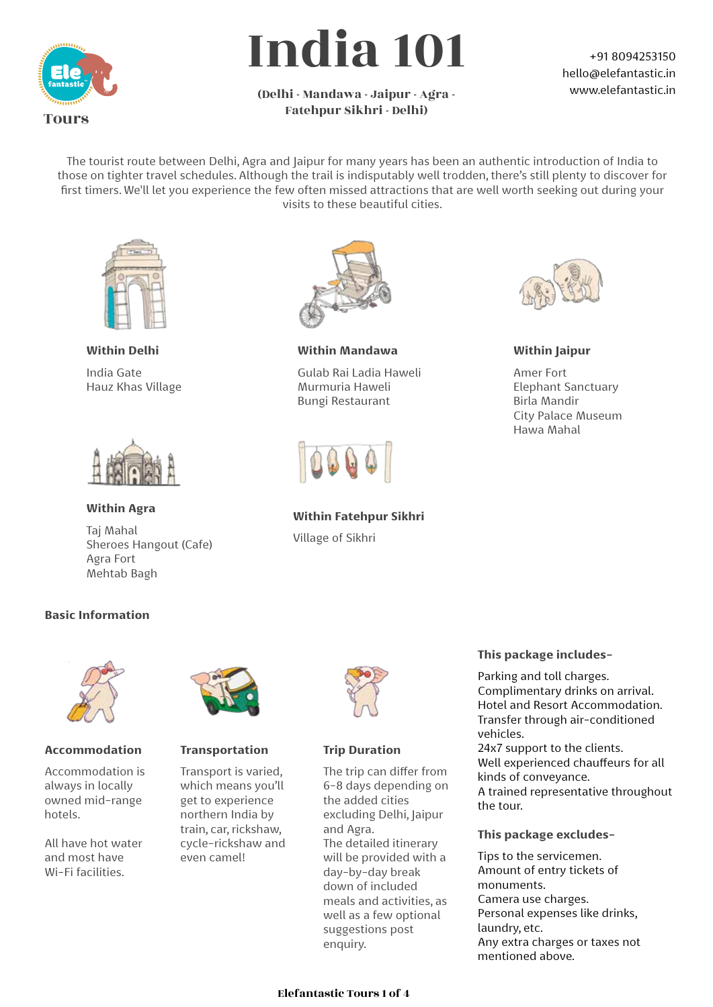

# India 101

#### (Delhi - Mandawa - Jaipur - Agra - Fatehpur Sikhri - Delhi)

#### +91 8094253150 hello@elefantastic.in www.elefantastic.in

The tourist route between Delhi, Agra and Jaipur for many years has been an authentic introduction of India to those on tighter travel schedules. Although the trail is indisputably well trodden, there's still plenty to discover for first timers. We'll let you experience the few often missed attractions that are well worth seeking out during your visits to these beautiful cities.



**Within Delhi** India Gate Hauz Khas Village



**Within Agra** Taj Mahal Sheroes Hangout (Cafe)



**Within Mandawa**

Gulab Rai Ladia Haweli Murmuria Haweli Bungi Restaurant



**Within Fatehpur Sikhri**  Village of Sikhri



**Within Jaipur** 

Amer Fort Elephant Sanctuary Birla Mandir City Palace Museum Hawa Mahal

#### **Basic Information**

Agra Fort Mehtab Bagh



#### **Accommodation**

Accommodation is always in locally owned mid-range hotels.

All have hot water and most have Wi-Fi facilities.



#### **Transportation**

Transport is varied, which means you'll get to experience northern India by train, car, rickshaw, cycle-rickshaw and even camel!



#### **Trip Duration**

The trip can differ from 6-8 days depending on the added cities excluding Delhi, Jaipur and Agra. The detailed itinerary will be provided with a day-by-day break down of included meals and activities, as well as a few optional suggestions post enquiry.

#### **This package includes-**

Parking and toll charges. Complimentary drinks on arrival. Hotel and Resort Accommodation. Transfer through air-conditioned vehicles.

24x7 support to the clients. Well experienced chauffeurs for all kinds of conveyance. A trained representative throughout the tour.

#### **This package excludes-**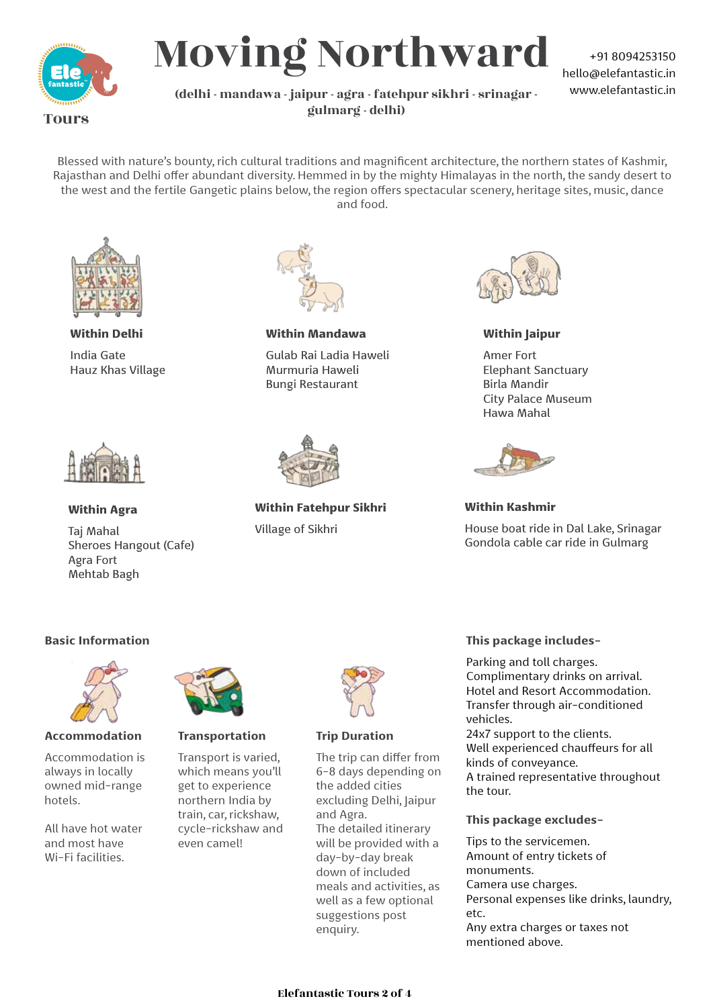

## Moving Northward

+91 8094253150 hello@elefantastic.in www.elefantastic.in

#### (delhi - mandawa - jaipur - agra - fatehpur sikhri - srinagar gulmarg - delhi)

Blessed with nature's bounty, rich cultural traditions and magnificent architecture, the northern states of Kashmir, Rajasthan and Delhi offer abundant diversity. Hemmed in by the mighty Himalayas in the north, the sandy desert to the west and the fertile Gangetic plains below, the region offers spectacular scenery, heritage sites, music, dance and food.



**Within Delhi** India Gate Hauz Khas Village



**Within Agra**

Taj Mahal Sheroes Hangout (Cafe) Agra Fort Mehtab Bagh



**Within Mandawa**

Gulab Rai Ladia Haweli Murmuria Haweli Bungi Restaurant



**Within Fatehpur Sikhri**  Village of Sikhri



**Within Jaipur** 

Amer Fort Elephant Sanctuary Birla Mandir City Palace Museum Hawa Mahal



**Within Kashmir**

House boat ride in Dal Lake, Srinagar Gondola cable car ride in Gulmarg



**Accommodation** 

Accommodation is always in locally owned mid-range hotels

All have hot water and most have Wi-Fi facilities.



#### **Transportation**

Transport is varied, which means you'll get to experience northern India by train, car, rickshaw, cycle-rickshaw and even camel!



#### **Trip Duration**

The trip can differ from 6-8 days depending on the added cities excluding Delhi, Jaipur and Agra. The detailed itinerary will be provided with a day-by-day break down of included meals and activities, as well as a few optional suggestions post enquiry.

#### **Basic Information This package includes-**

Parking and toll charges. Complimentary drinks on arrival. Hotel and Resort Accommodation. Transfer through air-conditioned vehicles.

24x7 support to the clients. Well experienced chauffeurs for all kinds of conveyance. A trained representative throughout the tour.

#### **This package excludes-**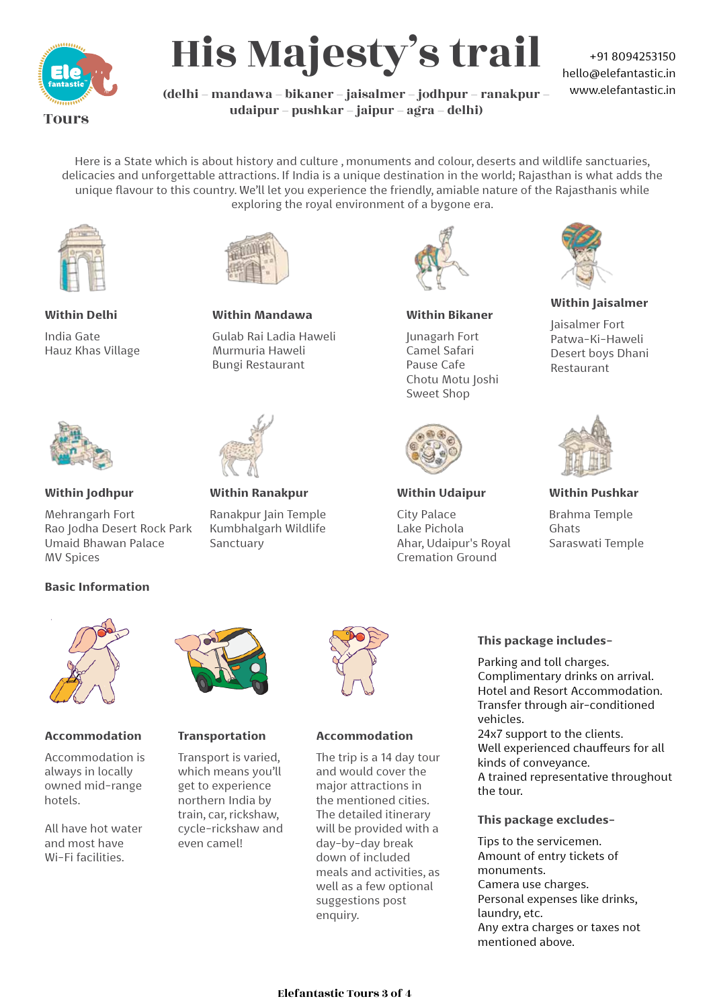

His Majesty's trail

+91 8094253150 hello@elefantastic.in www.elefantastic.in

(delhi – mandawa – bikaner – jaisalmer – jodhpur – ranakpur – udaipur – pushkar – jaipur – agra – delhi)

Here is a State which is about history and culture , monuments and colour, deserts and wildlife sanctuaries, delicacies and unforgettable attractions. If India is a unique destination in the world; Rajasthan is what adds the unique flavour to this country. We'll let you experience the friendly, amiable nature of the Rajasthanis while exploring the royal environment of a bygone era.



**Within Mandawa**

Gulab Rai Ladia Haweli Murmuria Haweli Bungi Restaurant

**Within Ranakpur**

Sanctuary

Ranakpur Jain Temple Kumbhalgarh Wildlife

**Within Delhi**

India Gate Hauz Khas Village



#### **Within Jodhpur**

Mehrangarh Fort Rao Jodha Desert Rock Park Umaid Bhawan Palace MV Spices

#### **Basic Information**



#### **Accommodation**

Accommodation is always in locally owned mid-range hotels

All have hot water and most have Wi-Fi facilities.



#### **Transportation**

Transport is varied, which means you'll get to experience northern India by train, car, rickshaw, cycle-rickshaw and even camel!



**Within Bikaner**

Junagarh Fort Camel Safari Pause Cafe Chotu Motu Joshi Sweet Shop



#### **Within Udaipur**

City Palace Lake Pichola Ahar, Udaipur's Royal Cremation Ground



**Within Jaisalmer**

Jaisalmer Fort Patwa-Ki-Haweli Desert boys Dhani Restaurant



**Within Pushkar**

Brahma Temple Ghats Saraswati Temple



#### **Accommodation**

The trip is a 14 day tour and would cover the major attractions in the mentioned cities. The detailed itinerary will be provided with a day-by-day break down of included meals and activities, as well as a few optional suggestions post enquiry.

#### **This package includes-**

Parking and toll charges. Complimentary drinks on arrival. Hotel and Resort Accommodation. Transfer through air-conditioned vehicles.

24x7 support to the clients. Well experienced chauffeurs for all kinds of conveyance. A trained representative throughout the tour.

**This package excludes-**